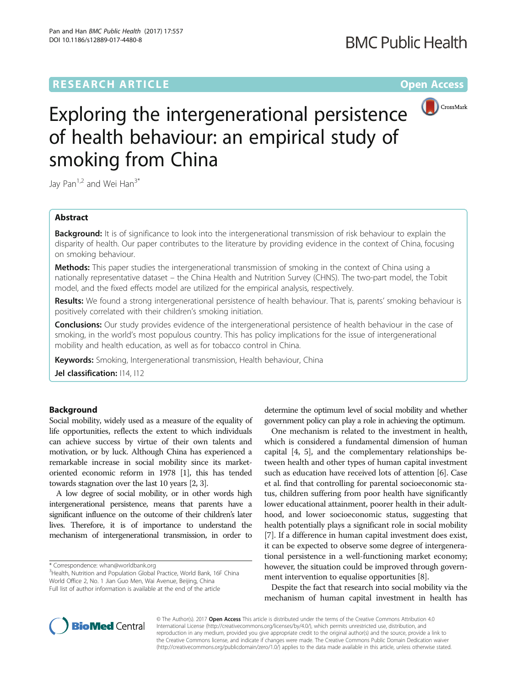# **RESEARCH ARTICLE Example 2018 12:00 Department of the Contract Open Access**



# Exploring the intergenerational persistence of health behaviour: an empirical study of smoking from China

Jay Pan<sup>1,2</sup> and Wei Han<sup>3\*</sup>

# Abstract

**Background:** It is of significance to look into the intergenerational transmission of risk behaviour to explain the disparity of health. Our paper contributes to the literature by providing evidence in the context of China, focusing on smoking behaviour.

**Methods:** This paper studies the intergenerational transmission of smoking in the context of China using a nationally representative dataset – the China Health and Nutrition Survey (CHNS). The two-part model, the Tobit model, and the fixed effects model are utilized for the empirical analysis, respectively.

Results: We found a strong intergenerational persistence of health behaviour. That is, parents' smoking behaviour is positively correlated with their children's smoking initiation.

**Conclusions:** Our study provides evidence of the intergenerational persistence of health behaviour in the case of smoking, in the world's most populous country. This has policy implications for the issue of intergenerational mobility and health education, as well as for tobacco control in China.

Keywords: Smoking, Intergenerational transmission, Health behaviour, China

Jel classification:  $114, 112$ 

# Background

Social mobility, widely used as a measure of the equality of life opportunities, reflects the extent to which individuals can achieve success by virtue of their own talents and motivation, or by luck. Although China has experienced a remarkable increase in social mobility since its marketoriented economic reform in 1978 [[1](#page-7-0)], this has tended towards stagnation over the last 10 years [\[2, 3](#page-7-0)].

A low degree of social mobility, or in other words high intergenerational persistence, means that parents have a significant influence on the outcome of their children's later lives. Therefore, it is of importance to understand the mechanism of intergenerational transmission, in order to

\* Correspondence: [whan@worldbank.org](mailto:whan@worldbank.org) <sup>3</sup>

 $3$ Health, Nutrition and Population Global Practice, World Bank, 16F China World Office 2, No. 1 Jian Guo Men, Wai Avenue, Beijing, China Full list of author information is available at the end of the article

determine the optimum level of social mobility and whether government policy can play a role in achieving the optimum.

One mechanism is related to the investment in health, which is considered a fundamental dimension of human capital [[4, 5](#page-7-0)], and the complementary relationships between health and other types of human capital investment such as education have received lots of attention [[6](#page-7-0)]. Case et al. find that controlling for parental socioeconomic status, children suffering from poor health have significantly lower educational attainment, poorer health in their adulthood, and lower socioeconomic status, suggesting that health potentially plays a significant role in social mobility [[7\]](#page-7-0). If a difference in human capital investment does exist, it can be expected to observe some degree of intergenerational persistence in a well-functioning market economy; however, the situation could be improved through government intervention to equalise opportunities [\[8](#page-7-0)].

Despite the fact that research into social mobility via the mechanism of human capital investment in health has



© The Author(s). 2017 **Open Access** This article is distributed under the terms of the Creative Commons Attribution 4.0 International License [\(http://creativecommons.org/licenses/by/4.0/](http://creativecommons.org/licenses/by/4.0/)), which permits unrestricted use, distribution, and reproduction in any medium, provided you give appropriate credit to the original author(s) and the source, provide a link to the Creative Commons license, and indicate if changes were made. The Creative Commons Public Domain Dedication waiver [\(http://creativecommons.org/publicdomain/zero/1.0/](http://creativecommons.org/publicdomain/zero/1.0/)) applies to the data made available in this article, unless otherwise stated.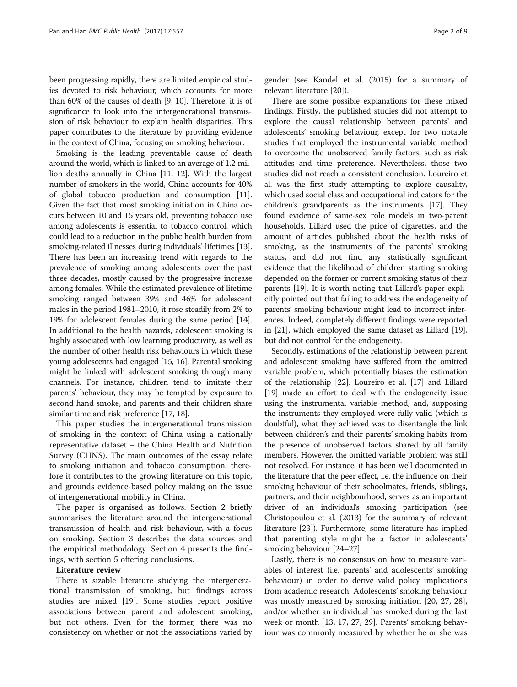been progressing rapidly, there are limited empirical studies devoted to risk behaviour, which accounts for more than 60% of the causes of death [\[9, 10\]](#page-7-0). Therefore, it is of significance to look into the intergenerational transmission of risk behaviour to explain health disparities. This paper contributes to the literature by providing evidence in the context of China, focusing on smoking behaviour.

Smoking is the leading preventable cause of death around the world, which is linked to an average of 1.2 million deaths annually in China [[11](#page-7-0), [12](#page-7-0)]. With the largest number of smokers in the world, China accounts for 40% of global tobacco production and consumption [[11](#page-7-0)]. Given the fact that most smoking initiation in China occurs between 10 and 15 years old, preventing tobacco use among adolescents is essential to tobacco control, which could lead to a reduction in the public health burden from smoking-related illnesses during individuals' lifetimes [[13](#page-7-0)]. There has been an increasing trend with regards to the prevalence of smoking among adolescents over the past three decades, mostly caused by the progressive increase among females. While the estimated prevalence of lifetime smoking ranged between 39% and 46% for adolescent males in the period 1981–2010, it rose steadily from 2% to 19% for adolescent females during the same period [[14](#page-7-0)]. In additional to the health hazards, adolescent smoking is highly associated with low learning productivity, as well as the number of other health risk behaviours in which these young adolescents had engaged [[15](#page-7-0), [16\]](#page-7-0). Parental smoking might be linked with adolescent smoking through many channels. For instance, children tend to imitate their parents' behaviour, they may be tempted by exposure to second hand smoke, and parents and their children share similar time and risk preference [\[17, 18](#page-7-0)].

This paper studies the intergenerational transmission of smoking in the context of China using a nationally representative dataset – the China Health and Nutrition Survey (CHNS). The main outcomes of the essay relate to smoking initiation and tobacco consumption, therefore it contributes to the growing literature on this topic, and grounds evidence-based policy making on the issue of intergenerational mobility in China.

The paper is organised as follows. Section 2 briefly summarises the literature around the intergenerational transmission of health and risk behaviour, with a focus on smoking. Section 3 describes the data sources and the empirical methodology. Section 4 presents the findings, with section 5 offering conclusions.

#### Literature review

There is sizable literature studying the intergenerational transmission of smoking, but findings across studies are mixed [[19\]](#page-7-0). Some studies report positive associations between parent and adolescent smoking, but not others. Even for the former, there was no consistency on whether or not the associations varied by gender (see Kandel et al. (2015) for a summary of relevant literature [[20\]](#page-7-0)).

There are some possible explanations for these mixed findings. Firstly, the published studies did not attempt to explore the causal relationship between parents' and adolescents' smoking behaviour, except for two notable studies that employed the instrumental variable method to overcome the unobserved family factors, such as risk attitudes and time preference. Nevertheless, those two studies did not reach a consistent conclusion. Loureiro et al. was the first study attempting to explore causality, which used social class and occupational indicators for the children's grandparents as the instruments [\[17\]](#page-7-0). They found evidence of same-sex role models in two-parent households. Lillard used the price of cigarettes, and the amount of articles published about the health risks of smoking, as the instruments of the parents' smoking status, and did not find any statistically significant evidence that the likelihood of children starting smoking depended on the former or current smoking status of their parents [\[19\]](#page-7-0). It is worth noting that Lillard's paper explicitly pointed out that failing to address the endogeneity of parents' smoking behaviour might lead to incorrect inferences. Indeed, completely different findings were reported in [\[21\]](#page-7-0), which employed the same dataset as Lillard [[19](#page-7-0)], but did not control for the endogeneity.

Secondly, estimations of the relationship between parent and adolescent smoking have suffered from the omitted variable problem, which potentially biases the estimation of the relationship [\[22\]](#page-7-0). Loureiro et al. [\[17\]](#page-7-0) and Lillard [[19](#page-7-0)] made an effort to deal with the endogeneity issue using the instrumental variable method, and, supposing the instruments they employed were fully valid (which is doubtful), what they achieved was to disentangle the link between children's and their parents' smoking habits from the presence of unobserved factors shared by all family members. However, the omitted variable problem was still not resolved. For instance, it has been well documented in the literature that the peer effect, i.e. the influence on their smoking behaviour of their schoolmates, friends, siblings, partners, and their neighbourhood, serves as an important driver of an individual's smoking participation (see Christopoulou et al. (2013) for the summary of relevant literature [[23\]](#page-7-0)). Furthermore, some literature has implied that parenting style might be a factor in adolescents' smoking behaviour [[24](#page-7-0)–[27\]](#page-8-0).

Lastly, there is no consensus on how to measure variables of interest (i.e. parents' and adolescents' smoking behaviour) in order to derive valid policy implications from academic research. Adolescents' smoking behaviour was mostly measured by smoking initiation [\[20](#page-7-0), [27, 28](#page-8-0)], and/or whether an individual has smoked during the last week or month [\[13](#page-7-0), [17](#page-7-0), [27, 29\]](#page-8-0). Parents' smoking behaviour was commonly measured by whether he or she was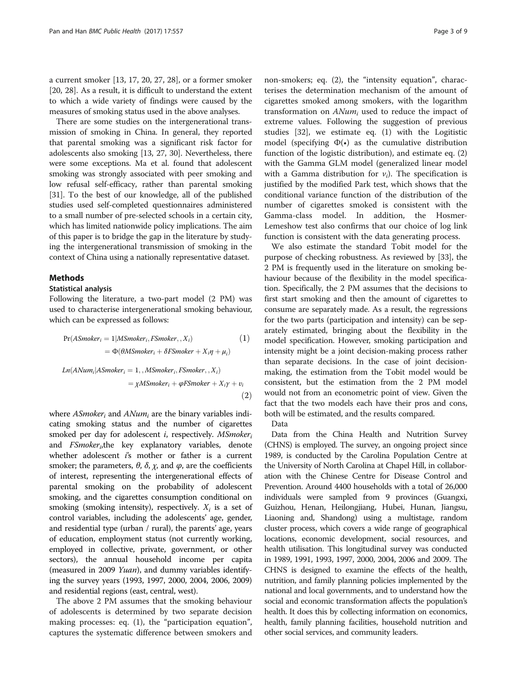a current smoker [\[13](#page-7-0), [17, 20,](#page-7-0) [27, 28](#page-8-0)], or a former smoker [[20,](#page-7-0) [28\]](#page-8-0). As a result, it is difficult to understand the extent to which a wide variety of findings were caused by the measures of smoking status used in the above analyses.

There are some studies on the intergenerational transmission of smoking in China. In general, they reported that parental smoking was a significant risk factor for adolescents also smoking [\[13,](#page-7-0) [27, 30\]](#page-8-0). Nevertheless, there were some exceptions. Ma et al. found that adolescent smoking was strongly associated with peer smoking and low refusal self-efficacy, rather than parental smoking [[31](#page-8-0)]. To the best of our knowledge, all of the published studies used self-completed questionnaires administered to a small number of pre-selected schools in a certain city, which has limited nationwide policy implications. The aim of this paper is to bridge the gap in the literature by studying the intergenerational transmission of smoking in the context of China using a nationally representative dataset.

#### **Methods**

### Statistical analysis

Following the literature, a two-part model (2 PM) was used to characterise intergenerational smoking behaviour, which can be expressed as follows:

$$
Pr(ASmoker_i = 1 | MSmoker_i, FSmoker, X_i)
$$
\n
$$
= \Phi(\theta MSmoker_i + \delta FSmoker + X_i \eta + \mu_i)
$$
\n
$$
Ln(ANum_i | ASmoker_i = 1, , MSmoker_i, FSmoker, X_i)
$$
\n
$$
= \chi MSmoker_i + \varphi Fsmoker + X_i \gamma + v_i
$$
\n(2)

where  $ASmoker_i$  and  $ANum_i$  are the binary variables indicating smoking status and the number of cigarettes smoked per day for adolescent  $i$ , respectively.  $MSmoker<sub>i</sub>$ and  $FSmoker_{i}$ the key explanatory variables, denote whether adolescent  $i$ 's mother or father is a current smoker; the parameters,  $\theta$ ,  $\delta$ ,  $\chi$ , and  $\varphi$ , are the coefficients of interest, representing the intergenerational effects of parental smoking on the probability of adolescent smoking, and the cigarettes consumption conditional on smoking (smoking intensity), respectively.  $X_i$  is a set of control variables, including the adolescents' age, gender, and residential type (urban / rural), the parents' age, years of education, employment status (not currently working, employed in collective, private, government, or other sectors), the annual household income per capita (measured in 2009 Yuan), and dummy variables identifying the survey years (1993, 1997, 2000, 2004, 2006, 2009) and residential regions (east, central, west).

The above 2 PM assumes that the smoking behaviour of adolescents is determined by two separate decision making processes: eq. (1), the "participation equation", captures the systematic difference between smokers and

non-smokers; eq. (2), the "intensity equation", characterises the determination mechanism of the amount of cigarettes smoked among smokers, with the logarithm transformation on  $ANum_i$  used to reduce the impact of extreme values. Following the suggestion of previous studies [\[32](#page-8-0)], we estimate eq. (1) with the Logitistic model (specifying  $\Phi(\cdot)$  as the cumulative distribution function of the logistic distribution), and estimate eq. (2) with the Gamma GLM model (generalized linear model with a Gamma distribution for  $v_i$ ). The specification is justified by the modified Park test, which shows that the conditional variance function of the distribution of the number of cigarettes smoked is consistent with the Gamma-class model. In addition, the Hosmer-Lemeshow test also confirms that our choice of log link function is consistent with the data generating process.

We also estimate the standard Tobit model for the purpose of checking robustness. As reviewed by [[33](#page-8-0)], the 2 PM is frequently used in the literature on smoking behaviour because of the flexibility in the model specification. Specifically, the 2 PM assumes that the decisions to first start smoking and then the amount of cigarettes to consume are separately made. As a result, the regressions for the two parts (participation and intensity) can be separately estimated, bringing about the flexibility in the model specification. However, smoking participation and intensity might be a joint decision-making process rather than separate decisions. In the case of joint decisionmaking, the estimation from the Tobit model would be consistent, but the estimation from the 2 PM model would not from an econometric point of view. Given the fact that the two models each have their pros and cons, both will be estimated, and the results compared.

Data

Data from the China Health and Nutrition Survey (CHNS) is employed. The survey, an ongoing project since 1989, is conducted by the Carolina Population Centre at the University of North Carolina at Chapel Hill, in collaboration with the Chinese Centre for Disease Control and Prevention. Around 4400 households with a total of 26,000 individuals were sampled from 9 provinces (Guangxi, Guizhou, Henan, Heilongjiang, Hubei, Hunan, Jiangsu, Liaoning and, Shandong) using a multistage, random cluster process, which covers a wide range of geographical locations, economic development, social resources, and health utilisation. This longitudinal survey was conducted in 1989, 1991, 1993, 1997, 2000, 2004, 2006 and 2009. The CHNS is designed to examine the effects of the health, nutrition, and family planning policies implemented by the national and local governments, and to understand how the social and economic transformation affects the population's health. It does this by collecting information on economics, health, family planning facilities, household nutrition and other social services, and community leaders.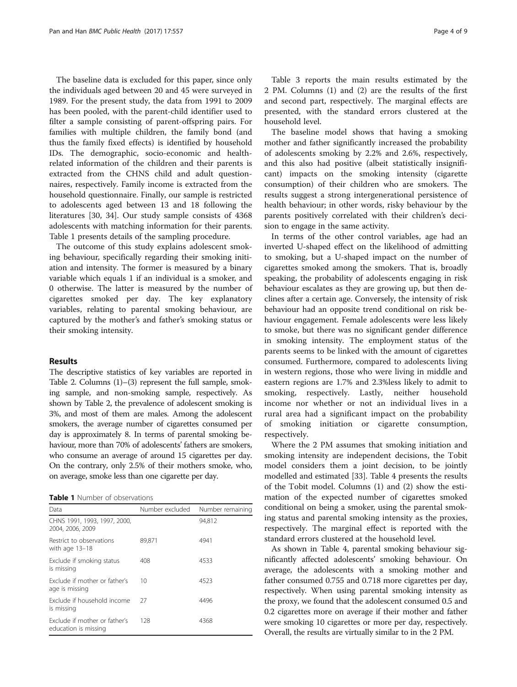The baseline data is excluded for this paper, since only the individuals aged between 20 and 45 were surveyed in 1989. For the present study, the data from 1991 to 2009 has been pooled, with the parent-child identifier used to filter a sample consisting of parent-offspring pairs. For families with multiple children, the family bond (and thus the family fixed effects) is identified by household IDs. The demographic, socio-economic and healthrelated information of the children and their parents is extracted from the CHNS child and adult questionnaires, respectively. Family income is extracted from the household questionnaire. Finally, our sample is restricted to adolescents aged between 13 and 18 following the literatures [\[30](#page-8-0), [34\]](#page-8-0). Our study sample consists of 4368 adolescents with matching information for their parents. Table 1 presents details of the sampling procedure.

The outcome of this study explains adolescent smoking behaviour, specifically regarding their smoking initiation and intensity. The former is measured by a binary variable which equals 1 if an individual is a smoker, and 0 otherwise. The latter is measured by the number of cigarettes smoked per day. The key explanatory variables, relating to parental smoking behaviour, are captured by the mother's and father's smoking status or their smoking intensity.

#### Results

The descriptive statistics of key variables are reported in Table [2](#page-4-0). Columns (1)–(3) represent the full sample, smoking sample, and non-smoking sample, respectively. As shown by Table [2,](#page-4-0) the prevalence of adolescent smoking is 3%, and most of them are males. Among the adolescent smokers, the average number of cigarettes consumed per day is approximately 8. In terms of parental smoking behaviour, more than 70% of adolescents' fathers are smokers, who consume an average of around 15 cigarettes per day. On the contrary, only 2.5% of their mothers smoke, who, on average, smoke less than one cigarette per day.

Table 1 Number of observations

| Data                                                  | Number excluded | Number remaining |  |  |  |
|-------------------------------------------------------|-----------------|------------------|--|--|--|
| CHNS 1991, 1993, 1997, 2000,<br>2004, 2006, 2009      |                 | 94,812           |  |  |  |
| Restrict to observations<br>with age 13-18            | 89,871          | 4941             |  |  |  |
| Exclude if smoking status<br>is missing               | 408             | 4533             |  |  |  |
| Exclude if mother or father's<br>age is missing       | 10              | 4523             |  |  |  |
| Exclude if household income<br>is missing             | 27              | 4496             |  |  |  |
| Exclude if mother or father's<br>education is missing | 128             | 4368             |  |  |  |

Table [3](#page-5-0) reports the main results estimated by the 2 PM. Columns (1) and (2) are the results of the first and second part, respectively. The marginal effects are presented, with the standard errors clustered at the household level.

The baseline model shows that having a smoking mother and father significantly increased the probability of adolescents smoking by 2.2% and 2.6%, respectively, and this also had positive (albeit statistically insignificant) impacts on the smoking intensity (cigarette consumption) of their children who are smokers. The results suggest a strong intergenerational persistence of health behaviour; in other words, risky behaviour by the parents positively correlated with their children's decision to engage in the same activity.

In terms of the other control variables, age had an inverted U-shaped effect on the likelihood of admitting to smoking, but a U-shaped impact on the number of cigarettes smoked among the smokers. That is, broadly speaking, the probability of adolescents engaging in risk behaviour escalates as they are growing up, but then declines after a certain age. Conversely, the intensity of risk behaviour had an opposite trend conditional on risk behaviour engagement. Female adolescents were less likely to smoke, but there was no significant gender difference in smoking intensity. The employment status of the parents seems to be linked with the amount of cigarettes consumed. Furthermore, compared to adolescents living in western regions, those who were living in middle and eastern regions are 1.7% and 2.3%less likely to admit to smoking, respectively. Lastly, neither household income nor whether or not an individual lives in a rural area had a significant impact on the probability of smoking initiation or cigarette consumption, respectively.

Where the 2 PM assumes that smoking initiation and smoking intensity are independent decisions, the Tobit model considers them a joint decision, to be jointly modelled and estimated [\[33](#page-8-0)]. Table [4](#page-6-0) presents the results of the Tobit model. Columns (1) and (2) show the estimation of the expected number of cigarettes smoked conditional on being a smoker, using the parental smoking status and parental smoking intensity as the proxies, respectively. The marginal effect is reported with the standard errors clustered at the household level.

As shown in Table [4,](#page-6-0) parental smoking behaviour significantly affected adolescents' smoking behaviour. On average, the adolescents with a smoking mother and father consumed 0.755 and 0.718 more cigarettes per day, respectively. When using parental smoking intensity as the proxy, we found that the adolescent consumed 0.5 and 0.2 cigarettes more on average if their mother and father were smoking 10 cigarettes or more per day, respectively. Overall, the results are virtually similar to in the 2 PM.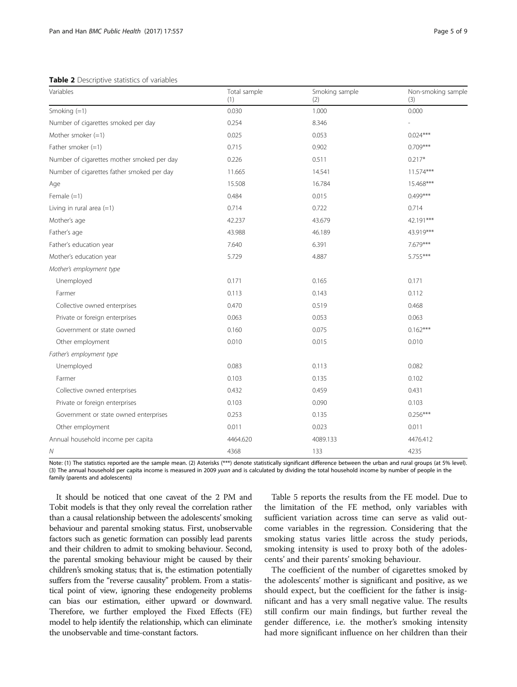<span id="page-4-0"></span>Table 2 Descriptive statistics of variables

| Variables                                  | Total sample<br>(1) | Smoking sample<br>(2) | Non-smoking sample<br>(3) |
|--------------------------------------------|---------------------|-----------------------|---------------------------|
| Smoking $(=1)$                             | 0.030               | 1.000                 | 0.000                     |
| Number of cigarettes smoked per day        | 0.254               | 8.346                 |                           |
| Mother smoker $(=1)$                       | 0.025               | 0.053                 | $0.024***$                |
| Father smoker $(=1)$                       | 0.715               | 0.902                 | $0.709***$                |
| Number of cigarettes mother smoked per day | 0.226               | 0.511                 | $0.217*$                  |
| Number of cigarettes father smoked per day | 11.665              | 14.541                | 11.574***                 |
| Age                                        | 15.508              | 16.784                | 15.468***                 |
| Female $(=1)$                              | 0.484               | 0.015                 | $0.499***$                |
| Living in rural area $(=1)$                | 0.714               | 0.722                 | 0.714                     |
| Mother's age                               | 42.237              | 43.679                | 42.191***                 |
| Father's age                               | 43.988              | 46.189                | 43.919***                 |
| Father's education year                    | 7.640               | 6.391                 | 7.679***                  |
| Mother's education year                    | 5.729               | 4.887                 | 5.755***                  |
| Mother's employment type                   |                     |                       |                           |
| Unemployed                                 | 0.171               | 0.165                 | 0.171                     |
| Farmer                                     | 0.113               | 0.143                 | 0.112                     |
| Collective owned enterprises               | 0.470               | 0.519                 | 0.468                     |
| Private or foreign enterprises             | 0.063               | 0.053                 | 0.063                     |
| Government or state owned                  | 0.160               | 0.075                 | $0.162***$                |
| Other employment                           | 0.010               | 0.015                 | 0.010                     |
| Father's employment type                   |                     |                       |                           |
| Unemployed                                 | 0.083               | 0.113                 | 0.082                     |
| Farmer                                     | 0.103               | 0.135                 | 0.102                     |
| Collective owned enterprises               | 0.432               | 0.459                 | 0.431                     |
| Private or foreign enterprises             | 0.103               | 0.090                 | 0.103                     |
| Government or state owned enterprises      | 0.253               | 0.135                 | $0.256***$                |
| Other employment                           | 0.011               | 0.023                 | 0.011                     |
| Annual household income per capita         | 4464.620            | 4089.133              | 4476.412                  |
| Ν                                          | 4368                | 133                   | 4235                      |

Note: (1) The statistics reported are the sample mean. (2) Asterisks (\*\*\*) denote statistically significant difference between the urban and rural groups (at 5% level). (3) The annual household per capita income is measured in 2009 yuan and is calculated by dividing the total household income by number of people in the family (parents and adolescents)

It should be noticed that one caveat of the 2 PM and Tobit models is that they only reveal the correlation rather than a causal relationship between the adolescents'smoking behaviour and parental smoking status. First, unobservable factors such as genetic formation can possibly lead parents and their children to admit to smoking behaviour. Second, the parental smoking behaviour might be caused by their children's smoking status; that is, the estimation potentially suffers from the "reverse causality" problem. From a statistical point of view, ignoring these endogeneity problems can bias our estimation, either upward or downward. Therefore, we further employed the Fixed Effects (FE) model to help identify the relationship, which can eliminate the unobservable and time-constant factors.

Table [5](#page-6-0) reports the results from the FE model. Due to the limitation of the FE method, only variables with sufficient variation across time can serve as valid outcome variables in the regression. Considering that the smoking status varies little across the study periods, smoking intensity is used to proxy both of the adolescents' and their parents' smoking behaviour.

The coefficient of the number of cigarettes smoked by the adolescents' mother is significant and positive, as we should expect, but the coefficient for the father is insignificant and has a very small negative value. The results still confirm our main findings, but further reveal the gender difference, i.e. the mother's smoking intensity had more significant influence on her children than their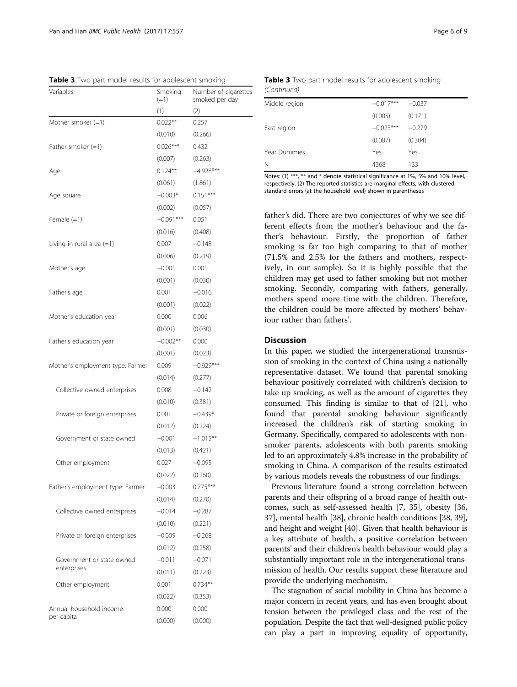father's did. There are two conjectures of why we see different effects from the mother's behaviour and the father's behaviour. Firstly, the proportion of father smoking is far too high comparing to that of mother (71.5% and 2.5% for the fathers and mothers, respectively, in our sample). So it is highly possible that the children may get used to father smoking but not mother smoking. Secondly, comparing with fathers, generally, mothers spend more time with the children. Therefore, the children could be more affected by mothers' behaviour rather than fathers'.

# Discussion

In this paper, we studied the intergenerational transmission of smoking in the context of China using a nationally representative dataset. We found that parental smoking behaviour positively correlated with children's decision to take up smoking, as well as the amount of cigarettes they consumed. This finding is similar to that of [[21](#page-7-0)], who found that parental smoking behaviour significantly increased the children's risk of starting smoking in Germany. Specifically, compared to adolescents with nonsmoker parents, adolescents with both parents smoking led to an approximately 4.8% increase in the probability of smoking in China. A comparison of the results estimated by various models reveals the robustness of our findings.

Previous literature found a strong correlation between parents and their offspring of a broad range of health outcomes, such as self-assessed health [\[7,](#page-7-0) [35](#page-8-0)], obesity [[36](#page-8-0), [37](#page-8-0)], mental health [\[38\]](#page-8-0), chronic health conditions [\[38, 39](#page-8-0)], and height and weight [\[40\]](#page-8-0). Given that health behaviour is a key attribute of health, a positive correlation between parents' and their children's health behaviour would play a substantially important role in the intergenerational transmission of health. Our results support these literature and provide the underlying mechanism.

The stagnation of social mobility in China has become a major concern in recent years, and has even brought about tension between the privileged class and the rest of the population. Despite the fact that well-designed public policy can play a part in improving equality of opportunity,

<span id="page-5-0"></span>Table 3 Two part model results for adolescent smoking

| <b>Table 3</b> TWO part frioud results for adolescent simoning |                   |                                        |  |
|----------------------------------------------------------------|-------------------|----------------------------------------|--|
| Variables                                                      | Smoking<br>$(=1)$ | Number of cigarettes<br>smoked per day |  |
|                                                                | (1)               | (2)                                    |  |
| Mother smoker $(=1)$                                           | $0.022**$         | 0.257                                  |  |
|                                                                | (0.010)           | (0.266)                                |  |
| Father smoker $(=1)$                                           | $0.026***$        | 0.432                                  |  |
|                                                                | (0.007)           | (0.263)                                |  |
| Age                                                            | $0.124***$        | $-4.928***$                            |  |
|                                                                | (0.061)           | (1.861)                                |  |
| Age square                                                     | $-0.003*$         | $0.151***$                             |  |
|                                                                | (0.002)           | (0.057)                                |  |
| Female $(=1)$                                                  | $-0.091***$       | 0.051                                  |  |
|                                                                | (0.016)           | (0.408)                                |  |
| Living in rural area $(=1)$                                    | 0.007             | $-0.148$                               |  |
|                                                                | (0.006)           | (0.219)                                |  |
| Mother's age                                                   | $-0.001$          | 0.001                                  |  |
|                                                                | (0.001)           | (0.030)                                |  |
| Father's age                                                   | 0.001             | $-0.016$                               |  |
|                                                                | (0.001)           | (0.022)                                |  |
| Mother's education year                                        | 0.000             | 0.006                                  |  |
|                                                                | (0.001)           | (0.030)                                |  |
| Father's education year                                        | $-0.002**$        | 0.000                                  |  |
|                                                                | (0.001)           | (0.023)                                |  |
| Mother's employment type: Farmer                               | 0.009             | $-0.929***$                            |  |
|                                                                | (0.014)           | (0.277)                                |  |
| Collective owned enterprises                                   | 0.008             | $-0.142$                               |  |
|                                                                | (0.010)           | (0.381)                                |  |
| Private or foreign enterprises                                 | 0.001             | $-0.439*$                              |  |
|                                                                | (0.012)           | (0.224)                                |  |
| Government or state owned                                      | $-0.001$          | $-1.015**$                             |  |
|                                                                | (0.013)           | (0.421)                                |  |
| Other employment                                               | 0.027             | $-0.095$                               |  |
|                                                                | (0.022)           | (0.260)                                |  |
| Father's employment type: Farmer                               | $-0.003$          | $0.775***$                             |  |
|                                                                | (0.014)           | (0.270)                                |  |
| Collective owned enterprises                                   | $-0.014$          | $-0.287$                               |  |
|                                                                | (0.010)           | (0.221)                                |  |
| Private or foreign enterprises                                 | $-0.009$          | $-0.268$                               |  |
|                                                                | (0.012)           | (0.258)                                |  |
| Government or state owned                                      | $-0.011$          | $-0.071$                               |  |
| enterprises                                                    | (0.011)           | (0.223)                                |  |
| Other employment                                               | 0.001             | $0.734**$                              |  |
|                                                                | (0.022)           | (0.353)                                |  |
| Annual household income                                        | 0.000             | 0.000                                  |  |
| per capita                                                     | (0.000)           | (0.000)                                |  |
|                                                                |                   |                                        |  |

Table 3 Two part model results for adolescent smoking (Continued)

| $-0.017***$ | $-0.037$ |
|-------------|----------|
| (0.005)     | (0.171)  |
| $-0.023***$ | $-0.279$ |
| (0.007)     | (0.304)  |
| Yes         | Yes      |
| 4368        | 133      |
|             |          |

Notes: (1) \*\*\*, \*\* and \* denote statistical significance at 1%, 5% and 10% level, respectively. (2) The reported statistics are marginal effects, with clustered standard errors (at the household level) shown in parentheses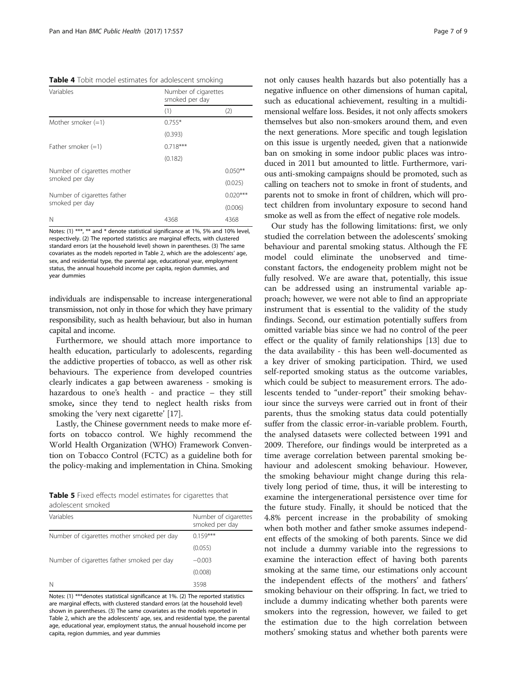<span id="page-6-0"></span>Table 4 Tobit model estimates for adolescent smoking

| Variables                   | Number of cigarettes<br>smoked per day |            |  |
|-----------------------------|----------------------------------------|------------|--|
|                             | (1)                                    | (2)        |  |
| Mother smoker $(=1)$        | $0.755*$                               |            |  |
|                             | (0.393)                                |            |  |
| Father smoker $(=1)$        | $0.718***$                             |            |  |
|                             | (0.182)                                |            |  |
| Number of cigarettes mother |                                        | $0.050**$  |  |
| smoked per day              |                                        | (0.025)    |  |
| Number of cigarettes father |                                        | $0.020***$ |  |
| smoked per day              |                                        | (0.006)    |  |
| N                           | 4368                                   | 4368       |  |

Notes: (1) \*\*\*, \*\* and \* denote statistical significance at 1%, 5% and 10% level, respectively. (2) The reported statistics are marginal effects, with clustered standard errors (at the household level) shown in parentheses. (3) The same covariates as the models reported in Table [2,](#page-4-0) which are the adolescents' age, sex, and residential type, the parental age, educational year, employment status, the annual household income per capita, region dummies, and year dummies

individuals are indispensable to increase intergenerational transmission, not only in those for which they have primary responsibility, such as health behaviour, but also in human capital and income.

Furthermore, we should attach more importance to health education, particularly to adolescents, regarding the addictive properties of tobacco, as well as other risk behaviours. The experience from developed countries clearly indicates a gap between awareness - smoking is hazardous to one's health - and practice – they still smoke, since they tend to neglect health risks from smoking the 'very next cigarette' [[17](#page-7-0)].

Lastly, the Chinese government needs to make more efforts on tobacco control. We highly recommend the World Health Organization (WHO) Framework Convention on Tobacco Control (FCTC) as a guideline both for the policy-making and implementation in China. Smoking

|                   |  |  | <b>Table 5</b> Fixed effects model estimates for cigarettes that |  |
|-------------------|--|--|------------------------------------------------------------------|--|
| adolescent smoked |  |  |                                                                  |  |

| Variables                                  | Number of cigarettes<br>smoked per day |
|--------------------------------------------|----------------------------------------|
| Number of cigarettes mother smoked per day | $0.159***$                             |
|                                            | (0.055)                                |
| Number of cigarettes father smoked per day | $-0.003$                               |
|                                            | (0.008)                                |
| N                                          | 3598                                   |

Notes: (1) \*\*\*denotes statistical significance at 1%. (2) The reported statistics are marginal effects, with clustered standard errors (at the household level) shown in parentheses. (3) The same covariates as the models reported in Table [2](#page-4-0), which are the adolescents' age, sex, and residential type, the parental age, educational year, employment status, the annual household income per capita, region dummies, and year dummies

not only causes health hazards but also potentially has a negative influence on other dimensions of human capital, such as educational achievement, resulting in a multidimensional welfare loss. Besides, it not only affects smokers themselves but also non-smokers around them, and even the next generations. More specific and tough legislation on this issue is urgently needed, given that a nationwide ban on smoking in some indoor public places was introduced in 2011 but amounted to little. Furthermore, various anti-smoking campaigns should be promoted, such as calling on teachers not to smoke in front of students, and parents not to smoke in front of children, which will protect children from involuntary exposure to second hand smoke as well as from the effect of negative role models.

Our study has the following limitations: first, we only studied the correlation between the adolescents' smoking behaviour and parental smoking status. Although the FE model could eliminate the unobserved and timeconstant factors, the endogeneity problem might not be fully resolved. We are aware that, potentially, this issue can be addressed using an instrumental variable approach; however, we were not able to find an appropriate instrument that is essential to the validity of the study findings. Second, our estimation potentially suffers from omitted variable bias since we had no control of the peer effect or the quality of family relationships [[13\]](#page-7-0) due to the data availability - this has been well-documented as a key driver of smoking participation. Third, we used self-reported smoking status as the outcome variables, which could be subject to measurement errors. The adolescents tended to "under-report" their smoking behaviour since the surveys were carried out in front of their parents, thus the smoking status data could potentially suffer from the classic error-in-variable problem. Fourth, the analysed datasets were collected between 1991 and 2009. Therefore, our findings would be interpreted as a time average correlation between parental smoking behaviour and adolescent smoking behaviour. However, the smoking behaviour might change during this relatively long period of time, thus, it will be interesting to examine the intergenerational persistence over time for the future study. Finally, it should be noticed that the 4.8% percent increase in the probability of smoking when both mother and father smoke assumes independent effects of the smoking of both parents. Since we did not include a dummy variable into the regressions to examine the interaction effect of having both parents smoking at the same time, our estimations only account the independent effects of the mothers' and fathers' smoking behaviour on their offspring. In fact, we tried to include a dummy indicating whether both parents were smokers into the regression, however, we failed to get the estimation due to the high correlation between mothers' smoking status and whether both parents were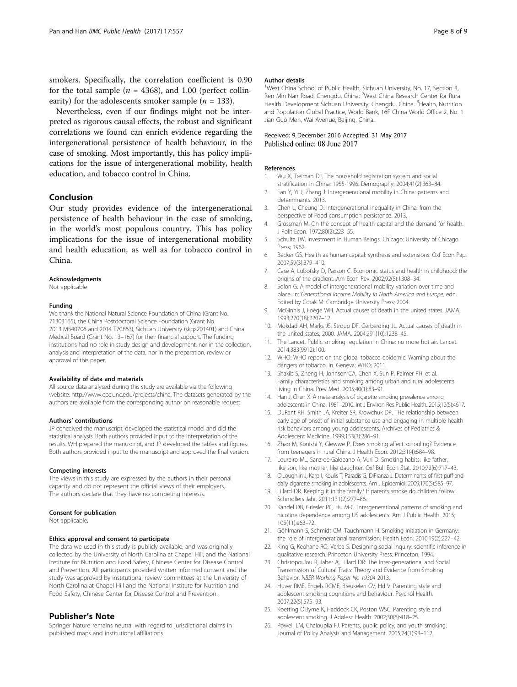<span id="page-7-0"></span>smokers. Specifically, the correlation coefficient is 0.90 for the total sample ( $n = 4368$ ), and 1.00 (perfect collinearity) for the adolescents smoker sample ( $n = 133$ ).

Nevertheless, even if our findings might not be interpreted as rigorous causal effects, the robust and significant correlations we found can enrich evidence regarding the intergenerational persistence of health behaviour, in the case of smoking. Most importantly, this has policy implications for the issue of intergenerational mobility, health education, and tobacco control in China.

#### Conclusion

Our study provides evidence of the intergenerational persistence of health behaviour in the case of smoking, in the world's most populous country. This has policy implications for the issue of intergenerational mobility and health education, as well as for tobacco control in China.

#### Acknowledgments

Not applicable

#### Funding

We thank the National Natural Science Foundation of China (Grant No. 71303165), the China Postdoctoral Science Foundation (Grant No. 2013 M540706 and 2014 T70863), Sichuan University (skqx201401) and China Medical Board (Grant No. 13–167) for their financial support. The funding institutions had no role in study design and development, nor in the collection, analysis and interpretation of the data, nor in the preparation, review or approval of this paper.

#### Availability of data and materials

All source data analysed during this study are available via the following website:<http://www.cpc.unc.edu/projects/china>. The datasets generated by the authors are available from the corresponding author on reasonable request.

#### Authors' contributions

JP conceived the manuscript, developed the statistical model and did the statistical analysis. Both authors provided input to the interpretation of the results. WH prepared the manuscript, and JP developed the tables and figures. Both authors provided input to the manuscript and approved the final version.

#### Competing interests

The views in this study are expressed by the authors in their personal capacity and do not represent the official views of their employers. The authors declare that they have no competing interests.

#### Consent for publication

Not applicable.

#### Ethics approval and consent to participate

The data we used in this study is publicly available, and was originally collected by the University of North Carolina at Chapel Hill, and the National Institute for Nutrition and Food Safety, Chinese Center for Disease Control and Prevention. All participants provided written informed consent and the study was approved by institutional review committees at the University of North Carolina at Chapel Hill and the National Institute for Nutrition and Food Safety, Chinese Center for Disease Control and Prevention.

#### Publisher's Note

Springer Nature remains neutral with regard to jurisdictional claims in published maps and institutional affiliations.

#### Author details

<sup>1</sup>West China School of Public Health, Sichuan University, No. 17, Section 3, Ren Min Nan Road, Chengdu, China. <sup>2</sup>West China Research Center for Rural Health Development Sichuan University, Chengdu, China. <sup>3</sup>Health, Nutrition and Population Global Practice, World Bank, 16F China World Office 2, No. 1 Jian Guo Men, Wai Avenue, Beijing, China.

#### Received: 9 December 2016 Accepted: 31 May 2017 Published online: 08 June 2017

#### References

- 1. Wu X, Treiman DJ. The household registration system and social stratification in China: 1955-1996. Demography. 2004;41(2):363–84.
- 2. Fan Y, Yi J, Zhang J: Intergenerational mobility in China: patterns and determinants. 2013.
- 3. Chen L, Cheung D: Intergenerational inequality in China: from the perspective of Food consumption persistence. 2013.
- 4. Grossman M. On the concept of health capital and the demand for health. J Polit Econ. 1972;80(2):223–55.
- 5. Schultz TW. Investment in Human Beings. Chicago: University of Chicago Press; 1962.
- 6. Becker GS. Health as human capital: synthesis and extensions. Oxf Econ Pap. 2007;59(3):379–410.
- 7. Case A, Lubotsky D, Paxson C. Economic status and health in childhood: the origins of the gradient. Am Econ Rev. 2002;92(5):1308–34.
- 8. Solon G: A model of intergenerational mobility variation over time and place. In: Generational Income Mobility in North America and Europe. edn. Edited by Corak M: Cambridge University Press; 2004.
- 9. McGinnis J, Foege WH. Actual causes of death in the united states. JAMA. 1993;270(18):2207–12.
- 10. Mokdad AH, Marks JS, Stroup DF, Gerberding JL. Actual causes of death in the united states, 2000. JAMA. 2004;291(10):1238–45.
- 11. The Lancet. Public smoking regulation in China: no more hot air. Lancet. 2014;383(9912):100.
- 12. WHO: WHO report on the global tobacco epidemic: Warning about the dangers of tobacco. In. Geneva: WHO; 2011.
- 13. Shakib S, Zheng H, Johnson CA, Chen X, Sun P, Palmer PH, et al. Family characteristics and smoking among urban and rural adolescents living in China. Prev Med. 2005;40(1):83–91.
- 14. Han J, Chen X. A meta-analysis of cigarette smoking prevalence among adolescents in China: 1981–2010. Int J Environ Res Public Health. 2015;12(5):4617.
- 15. DuRant RH, Smith JA, Kreiter SR, Krowchuk DP. THe relationship between early age of onset of initial substance use and engaging in multiple health risk behaviors among young adolescents. Archives of Pediatrics & Adolescent Medicine. 1999;153(3):286–91.
- 16. Zhao M, Konishi Y, Glewwe P. Does smoking affect schooling? Evidence from teenagers in rural China. J Health Econ. 2012;31(4):584–98.
- 17. Loureiro ML, Sanz-de-Galdeano A, Vuri D. Smoking habits: like father, like son, like mother, like daughter. Oxf Bull Econ Stat. 2010;72(6):717–43.
- 18. O'Loughlin J, Karp I, Koulis T, Paradis G, DiFranza J. Determinants of first puff and daily cigarette smoking in adolescents. Am J Epidemiol. 2009;170(5):585–97.
- 19. Lillard DR. Keeping it in the family? If parents smoke do children follow. Schmollers Jahr. 2011;131(2):277–86.
- 20. Kandel DB, Griesler PC, Hu M-C. Intergenerational patterns of smoking and nicotine dependence among US adolescents. Am J Public Health. 2015; 105(11):e63–72.
- 21. Göhlmann S, Schmidt CM, Tauchmann H. Smoking initiation in Germany: the role of intergenerational transmission. Health Econ. 2010;19(2):227–42.
- 22. King G, Keohane RO, Verba S. Designing social inquiry: scientific inference in qualitative research. Princeton University Press: Princeton; 1994.
- 23. Christopoulou R, Jaber A, Lillard DR: The Inter-generational and Social Transmission of Cultural Traits: Theory and Evidence from Smoking Behavior. NBER Working Paper No 19304 2013.
- 24. Huver RME, Engels RCME, Breukelen GV, Hd V. Parenting style and adolescent smoking cognitions and behaviour. Psychol Health. 2007;22(5):575–93.
- 25. Koetting O'Byrne K, Haddock CK, Poston WSC. Parenting style and adolescent smoking. J Adolesc Health. 2002;30(6):418–25.
- 26. Powell LM, Chaloupka FJ. Parents, public policy, and youth smoking. Journal of Policy Analysis and Management. 2005;24(1):93–112.